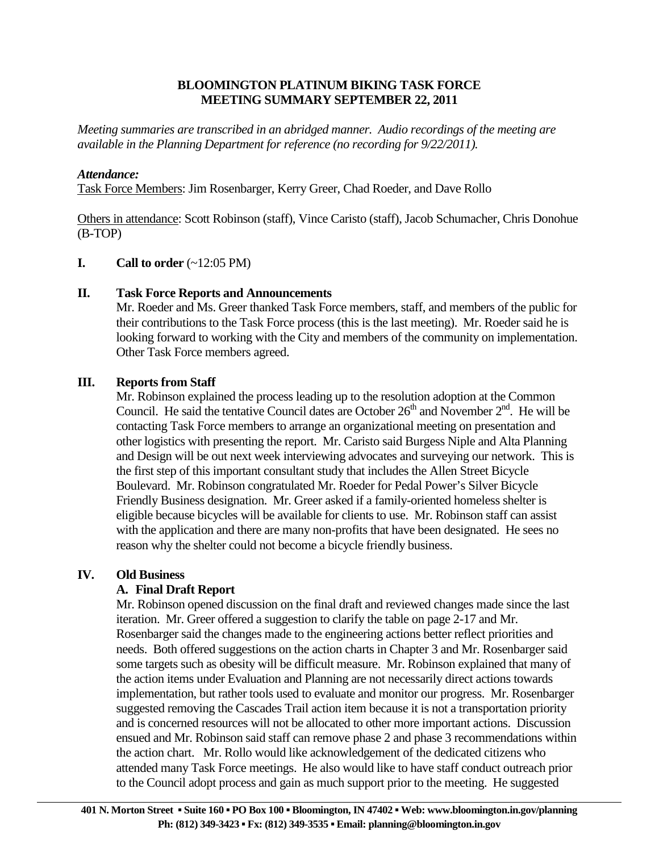#### **BLOOMINGTON PLATINUM BIKING TASK FORCE MEETING SUMMARY SEPTEMBER 22, 2011**

*Meeting summaries are transcribed in an abridged manner. Audio recordings of the meeting are available in the Planning Department for reference (no recording for 9/22/2011).* 

#### *Attendance:*

Task Force Members: Jim Rosenbarger, Kerry Greer, Chad Roeder, and Dave Rollo

Others in attendance: Scott Robinson (staff), Vince Caristo (staff), Jacob Schumacher, Chris Donohue (B-TOP)

#### **I.** Call to order  $(\sim 12:05 \text{ PM})$

#### **II. Task Force Reports and Announcements**

 Mr. Roeder and Ms. Greer thanked Task Force members, staff, and members of the public for their contributions to the Task Force process (this is the last meeting). Mr. Roeder said he is looking forward to working with the City and members of the community on implementation. Other Task Force members agreed.

#### **III. Reports from Staff**

Mr. Robinson explained the process leading up to the resolution adoption at the Common Council. He said the tentative Council dates are October  $26<sup>th</sup>$  and November  $2<sup>nd</sup>$ . He will be contacting Task Force members to arrange an organizational meeting on presentation and other logistics with presenting the report. Mr. Caristo said Burgess Niple and Alta Planning and Design will be out next week interviewing advocates and surveying our network. This is the first step of this important consultant study that includes the Allen Street Bicycle Boulevard. Mr. Robinson congratulated Mr. Roeder for Pedal Power's Silver Bicycle Friendly Business designation. Mr. Greer asked if a family-oriented homeless shelter is eligible because bicycles will be available for clients to use. Mr. Robinson staff can assist with the application and there are many non-profits that have been designated. He sees no reason why the shelter could not become a bicycle friendly business.

#### **IV. Old Business**

### **A. Final Draft Report**

Mr. Robinson opened discussion on the final draft and reviewed changes made since the last iteration. Mr. Greer offered a suggestion to clarify the table on page 2-17 and Mr. Rosenbarger said the changes made to the engineering actions better reflect priorities and needs. Both offered suggestions on the action charts in Chapter 3 and Mr. Rosenbarger said some targets such as obesity will be difficult measure. Mr. Robinson explained that many of the action items under Evaluation and Planning are not necessarily direct actions towards implementation, but rather tools used to evaluate and monitor our progress. Mr. Rosenbarger suggested removing the Cascades Trail action item because it is not a transportation priority and is concerned resources will not be allocated to other more important actions. Discussion ensued and Mr. Robinson said staff can remove phase 2 and phase 3 recommendations within the action chart. Mr. Rollo would like acknowledgement of the dedicated citizens who attended many Task Force meetings. He also would like to have staff conduct outreach prior to the Council adopt process and gain as much support prior to the meeting. He suggested